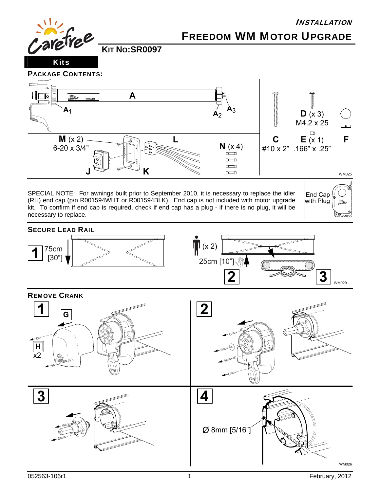

**H**  $\overline{x2}$ 

052563-106r1 1 February, 2012

WM026

Ø 8mm [5/16"]

**3** 4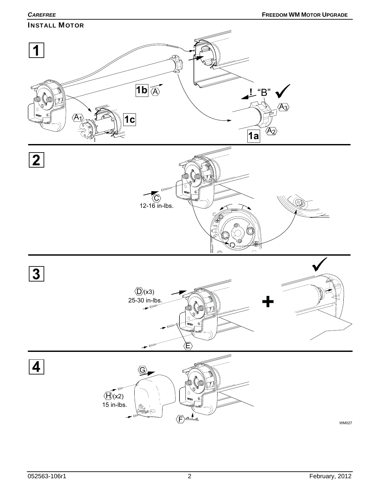**CAREFREE FREEDOM WM MOTOR UPGRADE** INSTALL MOTOR **1 1b** A  $L$ "B"  $\overline{A_3}$  $\overline{A_1}$ **1c**  $A_2$ **1a 2** (P  $\langle \text{C}\rangle$ 12-16 in-lbs. **3**  $\langle \overline{D} \rangle$ (x3) 25-30 in-lbs.<br> $\frac{25-30}{2}$ E **4** G



WM027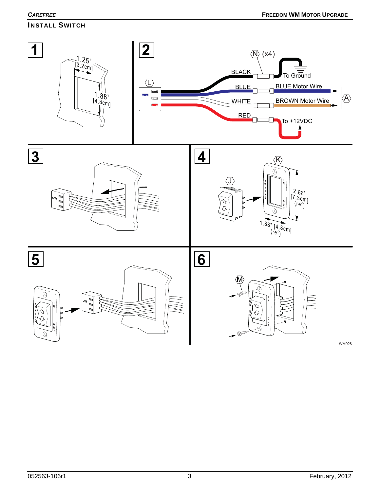# INSTALL SWITCH